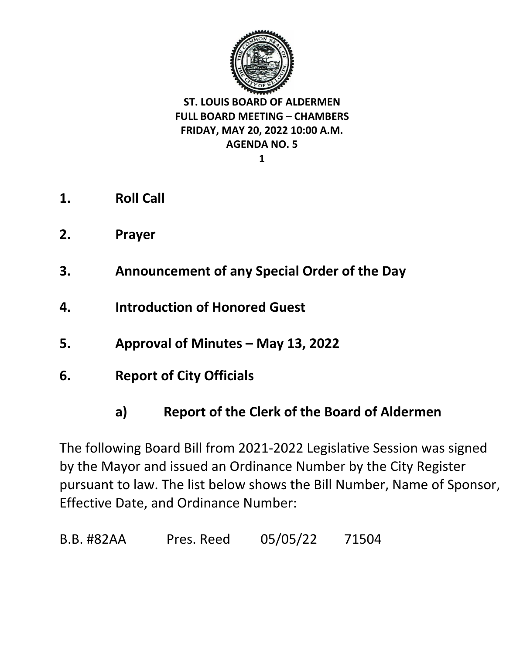

**1**

- **1. Roll Call**
- **2. Prayer**
- **3. Announcement of any Special Order of the Day**
- **4. Introduction of Honored Guest**
- **5. Approval of Minutes – May 13, 2022**
- **6. Report of City Officials** 
	- **a) Report of the Clerk of the Board of Aldermen**

The following Board Bill from 2021-2022 Legislative Session was signed by the Mayor and issued an Ordinance Number by the City Register pursuant to law. The list below shows the Bill Number, Name of Sponsor, Effective Date, and Ordinance Number:

B.B. #82AA Pres. Reed 05/05/22 71504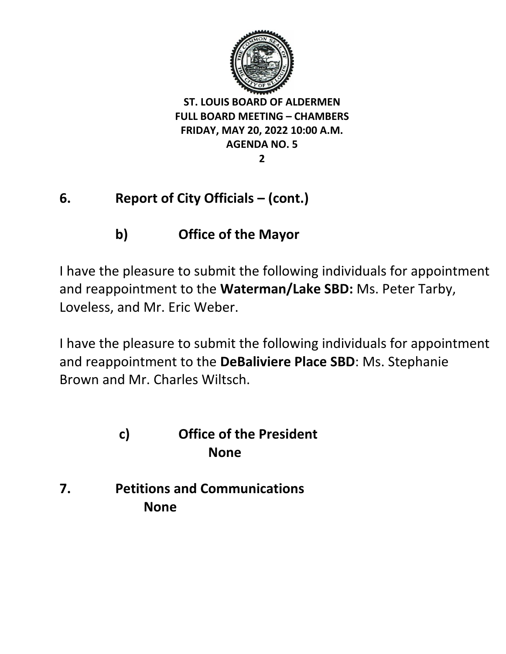

**2**

# **6. Report of City Officials – (cont.)**

# **b) Office of the Mayor**

I have the pleasure to submit the following individuals for appointment and reappointment to the **Waterman/Lake SBD:** Ms. Peter Tarby, Loveless, and Mr. Eric Weber.

I have the pleasure to submit the following individuals for appointment and reappointment to the **DeBaliviere Place SBD**: Ms. Stephanie Brown and Mr. Charles Wiltsch.

## **c) Office of the President None**

**7. Petitions and Communications None**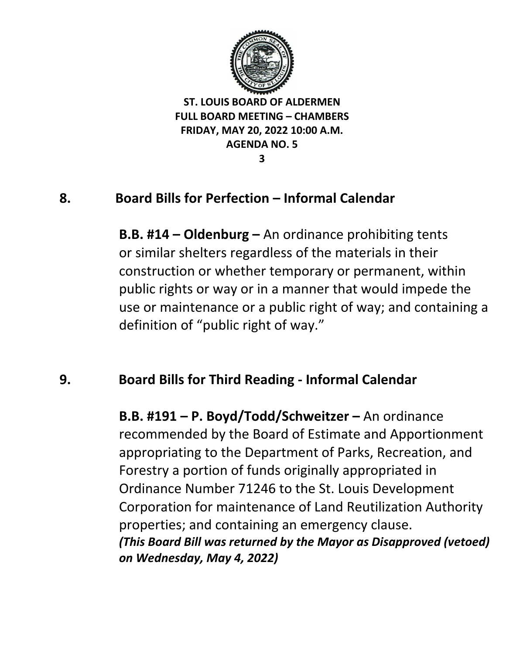

#### **3**

#### **8. Board Bills for Perfection – Informal Calendar**

**B.B. #14 – Oldenburg –** An ordinance prohibiting tents or similar shelters regardless of the materials in their construction or whether temporary or permanent, within public rights or way or in a manner that would impede the use or maintenance or a public right of way; and containing a definition of "public right of way."

#### **9. Board Bills for Third Reading - Informal Calendar**

**B.B. #191 – P. Boyd/Todd/Schweitzer –** An ordinance recommended by the Board of Estimate and Apportionment appropriating to the Department of Parks, Recreation, and Forestry a portion of funds originally appropriated in Ordinance Number 71246 to the St. Louis Development Corporation for maintenance of Land Reutilization Authority properties; and containing an emergency clause. *(This Board Bill was returned by the Mayor as Disapproved (vetoed) on Wednesday, May 4, 2022)*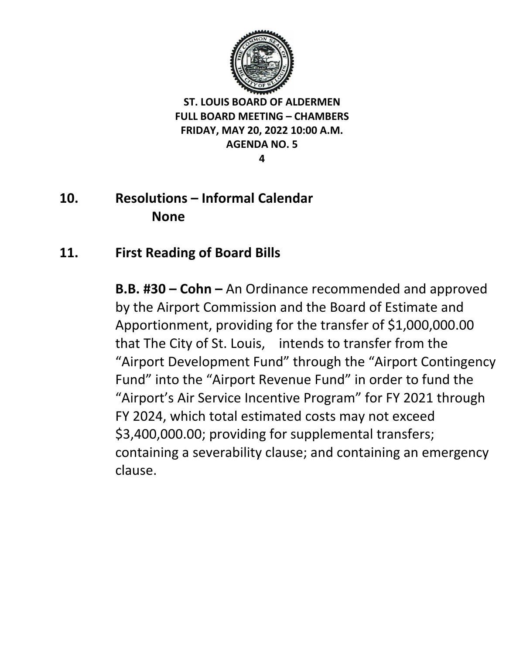

**4**

## **10. Resolutions – Informal Calendar None**

## **11. First Reading of Board Bills**

**B.B. #30 – Cohn –** An Ordinance recommended and approved by the Airport Commission and the Board of Estimate and Apportionment, providing for the transfer of \$1,000,000.00 that The City of St. Louis, intends to transfer from the "Airport Development Fund" through the "Airport Contingency Fund" into the "Airport Revenue Fund" in order to fund the "Airport's Air Service Incentive Program" for FY 2021 through FY 2024, which total estimated costs may not exceed \$3,400,000.00; providing for supplemental transfers; containing a severability clause; and containing an emergency clause.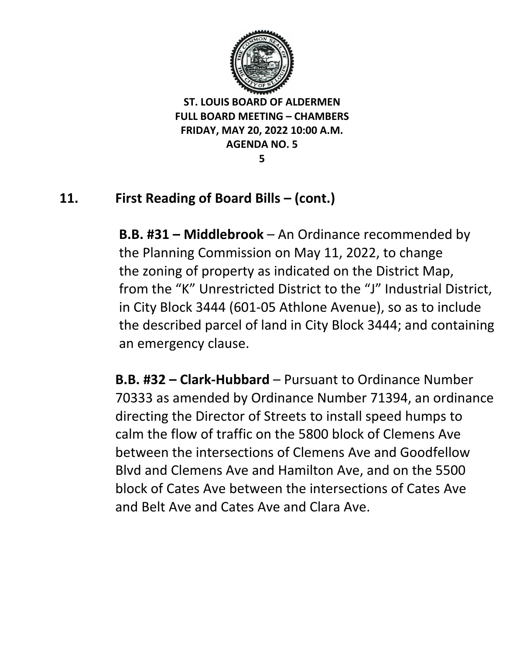

**5**

# **11. First Reading of Board Bills – (cont.)**

**B.B. #31 – Middlebrook** – An Ordinance recommended by the Planning Commission on May 11, 2022, to change the zoning of property as indicated on the District Map, from the "K" Unrestricted District to the "J" Industrial District, in City Block 3444 (601-05 Athlone Avenue), so as to include the described parcel of land in City Block 3444; and containing an emergency clause.

**B.B. #32 – Clark-Hubbard** – Pursuant to Ordinance Number 70333 as amended by Ordinance Number 71394, an ordinance directing the Director of Streets to install speed humps to calm the flow of traffic on the 5800 block of Clemens Ave between the intersections of Clemens Ave and Goodfellow Blvd and Clemens Ave and Hamilton Ave, and on the 5500 block of Cates Ave between the intersections of Cates Ave and Belt Ave and Cates Ave and Clara Ave.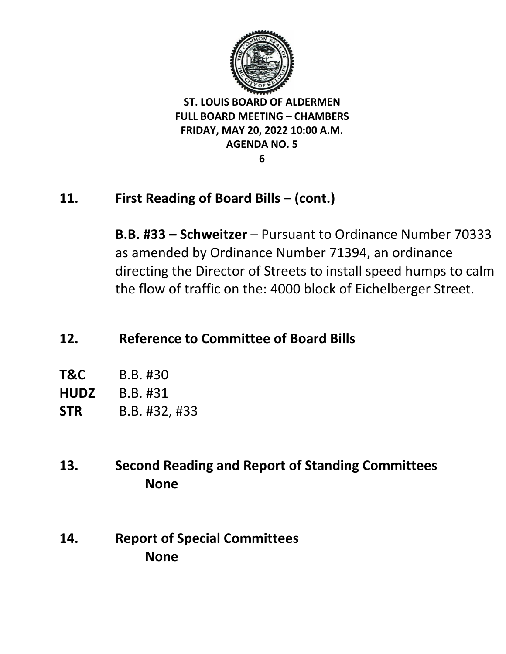

#### **6**

## **11. First Reading of Board Bills – (cont.)**

**B.B. #33 – Schweitzer** – Pursuant to Ordinance Number 70333 as amended by Ordinance Number 71394, an ordinance directing the Director of Streets to install speed humps to calm the flow of traffic on the: 4000 block of Eichelberger Street.

## **12. Reference to Committee of Board Bills**

| <b>T&amp;C</b> | B.B. #30 |  |
|----------------|----------|--|
|                |          |  |

**HUDZ** B.B. #31

**STR** B.B. #32, #33

**13. Second Reading and Report of Standing Committees None**

**14. Report of Special Committees None**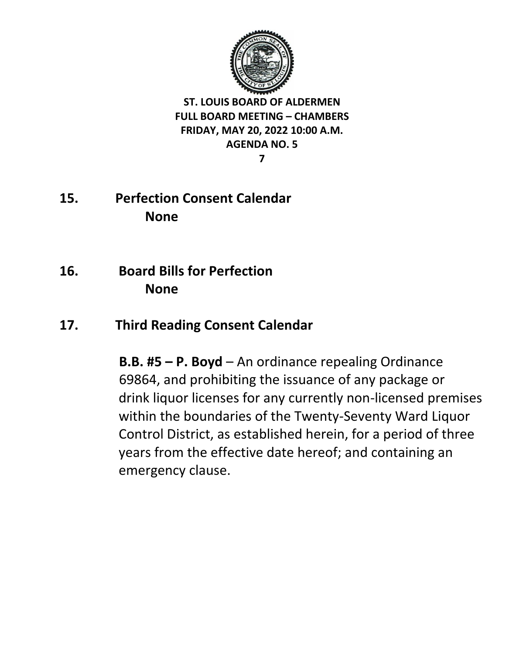

**7**

- **15. Perfection Consent Calendar None**
- **16. Board Bills for Perfection None**

# **17. Third Reading Consent Calendar**

**B.B. #5 – P. Boyd** – An ordinance repealing Ordinance 69864, and prohibiting the issuance of any package or drink liquor licenses for any currently non-licensed premises within the boundaries of the Twenty-Seventy Ward Liquor Control District, as established herein, for a period of three years from the effective date hereof; and containing an emergency clause.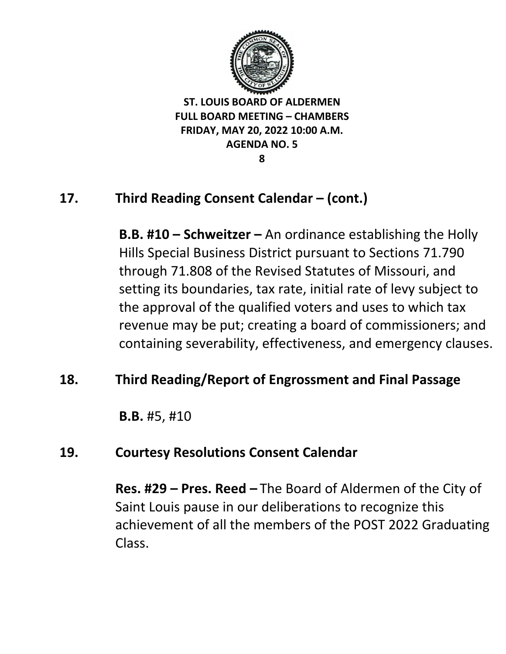

**8**

# **17. Third Reading Consent Calendar – (cont.)**

**B.B. #10 – Schweitzer –** An ordinance establishing the Holly Hills Special Business District pursuant to Sections 71.790 through 71.808 of the Revised Statutes of Missouri, and setting its boundaries, tax rate, initial rate of levy subject to the approval of the qualified voters and uses to which tax revenue may be put; creating a board of commissioners; and containing severability, effectiveness, and emergency clauses.

## **18. Third Reading/Report of Engrossment and Final Passage**

**B.B.** #5, #10

## **19. Courtesy Resolutions Consent Calendar**

**Res. #29 – Pres. Reed –** The Board of Aldermen of the City of Saint Louis pause in our deliberations to recognize this achievement of all the members of the POST 2022 Graduating Class.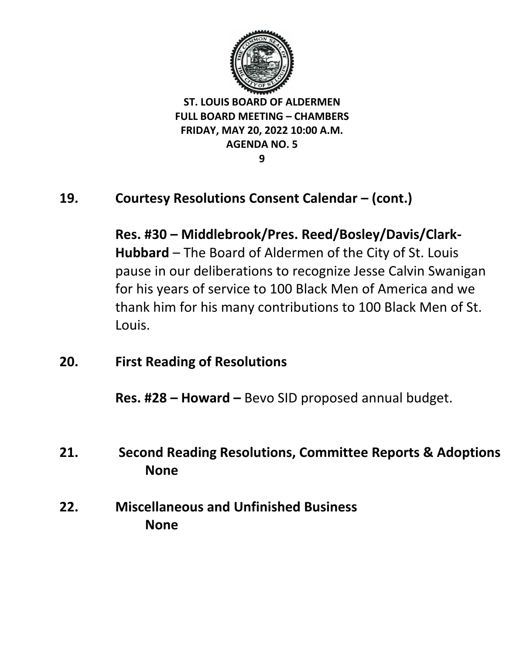

**9**

## **19. Courtesy Resolutions Consent Calendar – (cont.)**

**Res. #30 – Middlebrook/Pres. Reed/Bosley/Davis/Clark-Hubbard** – The Board of Aldermen of the City of St. Louis pause in our deliberations to recognize Jesse Calvin Swanigan for his years of service to 100 Black Men of America and we thank him for his many contributions to 100 Black Men of St. Louis.

**20. First Reading of Resolutions**

**Res. #28 – Howard –** Bevo SID proposed annual budget.

- **21. Second Reading Resolutions, Committee Reports & Adoptions None**
- **22. Miscellaneous and Unfinished Business None**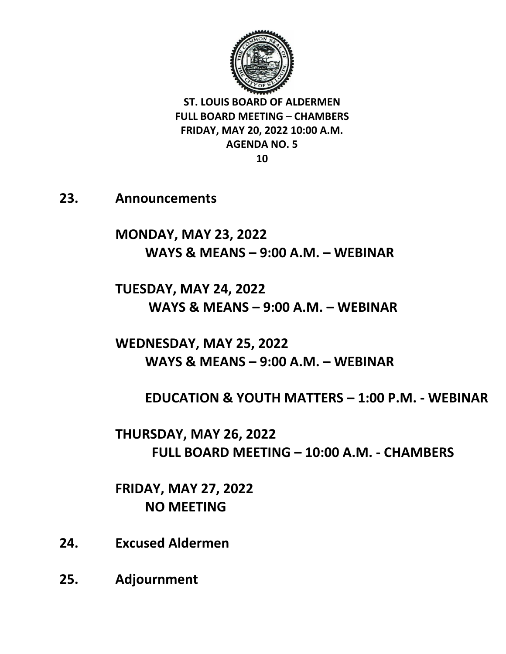

**23. Announcements** 

**MONDAY, MAY 23, 2022 WAYS & MEANS – 9:00 A.M. – WEBINAR**

**TUESDAY, MAY 24, 2022 WAYS & MEANS – 9:00 A.M. – WEBINAR**

**WEDNESDAY, MAY 25, 2022 WAYS & MEANS – 9:00 A.M. – WEBINAR** 

**EDUCATION & YOUTH MATTERS – 1:00 P.M. - WEBINAR**

**THURSDAY, MAY 26, 2022 FULL BOARD MEETING – 10:00 A.M. - CHAMBERS**

**FRIDAY, MAY 27, 2022 NO MEETING** 

- **24. Excused Aldermen**
- **25. Adjournment**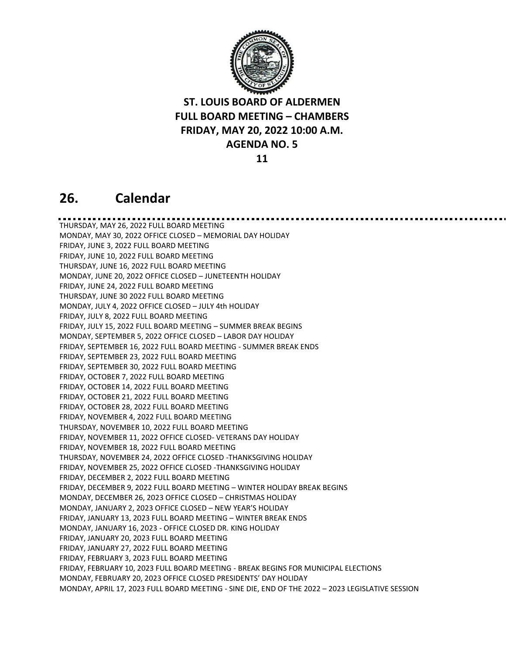

**11**

#### **26. Calendar**

THURSDAY, MAY 26, 2022 FULL BOARD MEETING MONDAY, MAY 30, 2022 OFFICE CLOSED – MEMORIAL DAY HOLIDAY FRIDAY, JUNE 3, 2022 FULL BOARD MEETING FRIDAY, JUNE 10, 2022 FULL BOARD MEETING THURSDAY, JUNE 16, 2022 FULL BOARD MEETING MONDAY, JUNE 20, 2022 OFFICE CLOSED – JUNETEENTH HOLIDAY FRIDAY, JUNE 24, 2022 FULL BOARD MEETING THURSDAY, JUNE 30 2022 FULL BOARD MEETING MONDAY, JULY 4, 2022 OFFICE CLOSED – JULY 4th HOLIDAY FRIDAY, JULY 8, 2022 FULL BOARD MEETING FRIDAY, JULY 15, 2022 FULL BOARD MEETING – SUMMER BREAK BEGINS MONDAY, SEPTEMBER 5, 2022 OFFICE CLOSED – LABOR DAY HOLIDAY FRIDAY, SEPTEMBER 16, 2022 FULL BOARD MEETING - SUMMER BREAK ENDS FRIDAY, SEPTEMBER 23, 2022 FULL BOARD MEETING FRIDAY, SEPTEMBER 30, 2022 FULL BOARD MEETING FRIDAY, OCTOBER 7, 2022 FULL BOARD MEETING FRIDAY, OCTOBER 14, 2022 FULL BOARD MEETING FRIDAY, OCTOBER 21, 2022 FULL BOARD MEETING FRIDAY, OCTOBER 28, 2022 FULL BOARD MEETING FRIDAY, NOVEMBER 4, 2022 FULL BOARD MEETING THURSDAY, NOVEMBER 10, 2022 FULL BOARD MEETING FRIDAY, NOVEMBER 11, 2022 OFFICE CLOSED- VETERANS DAY HOLIDAY FRIDAY, NOVEMBER 18, 2022 FULL BOARD MEETING THURSDAY, NOVEMBER 24, 2022 OFFICE CLOSED -THANKSGIVING HOLIDAY FRIDAY, NOVEMBER 25, 2022 OFFICE CLOSED -THANKSGIVING HOLIDAY FRIDAY, DECEMBER 2, 2022 FULL BOARD MEETING FRIDAY, DECEMBER 9, 2022 FULL BOARD MEETING – WINTER HOLIDAY BREAK BEGINS MONDAY, DECEMBER 26, 2023 OFFICE CLOSED – CHRISTMAS HOLIDAY MONDAY, JANUARY 2, 2023 OFFICE CLOSED – NEW YEAR'S HOLIDAY FRIDAY, JANUARY 13, 2023 FULL BOARD MEETING – WINTER BREAK ENDS MONDAY, JANUARY 16, 2023 - OFFICE CLOSED DR. KING HOLIDAY FRIDAY, JANUARY 20, 2023 FULL BOARD MEETING FRIDAY, JANUARY 27, 2022 FULL BOARD MEETING FRIDAY, FEBRUARY 3, 2023 FULL BOARD MEETING FRIDAY, FEBRUARY 10, 2023 FULL BOARD MEETING - BREAK BEGINS FOR MUNICIPAL ELECTIONS MONDAY, FEBRUARY 20, 2023 OFFICE CLOSED PRESIDENTS' DAY HOLIDAY MONDAY, APRIL 17, 2023 FULL BOARD MEETING - SINE DIE, END OF THE 2022 – 2023 LEGISLATIVE SESSION